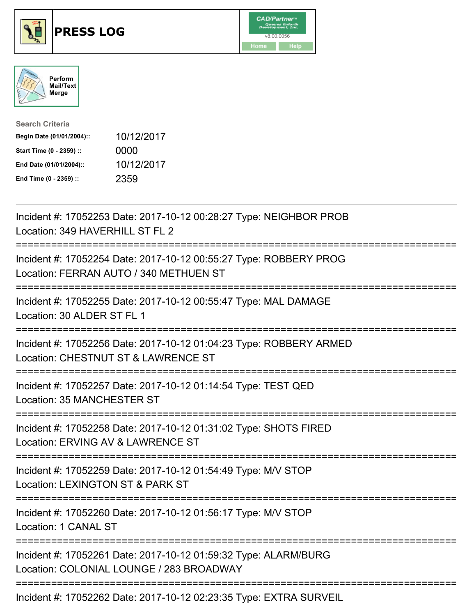





| <b>Search Criteria</b>    |            |
|---------------------------|------------|
| Begin Date (01/01/2004):: | 10/12/2017 |
| Start Time (0 - 2359) ::  | 0000       |
| End Date (01/01/2004)::   | 10/12/2017 |
| End Time (0 - 2359) ::    | 2359       |

| Incident #: 17052253 Date: 2017-10-12 00:28:27 Type: NEIGHBOR PROB<br>Location: 349 HAVERHILL ST FL 2                                                   |
|---------------------------------------------------------------------------------------------------------------------------------------------------------|
| Incident #: 17052254 Date: 2017-10-12 00:55:27 Type: ROBBERY PROG<br>Location: FERRAN AUTO / 340 METHUEN ST                                             |
| Incident #: 17052255 Date: 2017-10-12 00:55:47 Type: MAL DAMAGE<br>Location: 30 ALDER ST FL 1                                                           |
| Incident #: 17052256 Date: 2017-10-12 01:04:23 Type: ROBBERY ARMED<br>Location: CHESTNUT ST & LAWRENCE ST                                               |
| Incident #: 17052257 Date: 2017-10-12 01:14:54 Type: TEST QED<br>Location: 35 MANCHESTER ST                                                             |
| Incident #: 17052258 Date: 2017-10-12 01:31:02 Type: SHOTS FIRED<br>Location: ERVING AV & LAWRENCE ST<br>:==========================<br>--------------- |
| Incident #: 17052259 Date: 2017-10-12 01:54:49 Type: M/V STOP<br>Location: LEXINGTON ST & PARK ST                                                       |
| Incident #: 17052260 Date: 2017-10-12 01:56:17 Type: M/V STOP<br>Location: 1 CANAL ST                                                                   |
| Incident #: 17052261 Date: 2017-10-12 01:59:32 Type: ALARM/BURG<br>Location: COLONIAL LOUNGE / 283 BROADWAY                                             |
| Incident #: 17052262 Date: 2017-10-12 02:23:35 Type: EXTRA SURVEIL                                                                                      |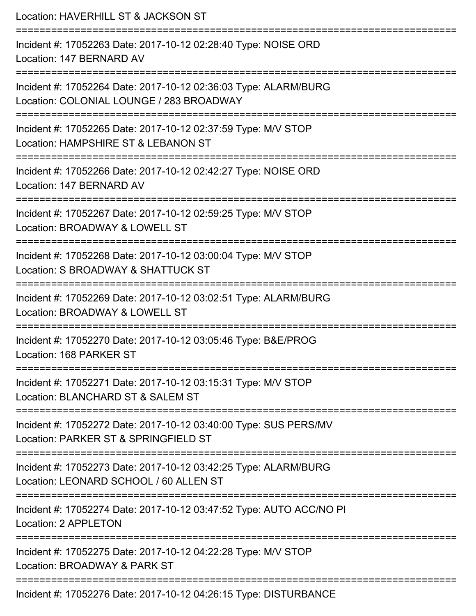| Location: HAVERHILL ST & JACKSON ST                                                                                                      |
|------------------------------------------------------------------------------------------------------------------------------------------|
| Incident #: 17052263 Date: 2017-10-12 02:28:40 Type: NOISE ORD<br>Location: 147 BERNARD AV                                               |
| Incident #: 17052264 Date: 2017-10-12 02:36:03 Type: ALARM/BURG<br>Location: COLONIAL LOUNGE / 283 BROADWAY<br>========================= |
| Incident #: 17052265 Date: 2017-10-12 02:37:59 Type: M/V STOP<br>Location: HAMPSHIRE ST & LEBANON ST                                     |
| Incident #: 17052266 Date: 2017-10-12 02:42:27 Type: NOISE ORD<br>Location: 147 BERNARD AV                                               |
| Incident #: 17052267 Date: 2017-10-12 02:59:25 Type: M/V STOP<br>Location: BROADWAY & LOWELL ST                                          |
| Incident #: 17052268 Date: 2017-10-12 03:00:04 Type: M/V STOP<br>Location: S BROADWAY & SHATTUCK ST                                      |
| Incident #: 17052269 Date: 2017-10-12 03:02:51 Type: ALARM/BURG<br>Location: BROADWAY & LOWELL ST                                        |
| Incident #: 17052270 Date: 2017-10-12 03:05:46 Type: B&E/PROG<br>Location: 168 PARKER ST                                                 |
| Incident #: 17052271 Date: 2017-10-12 03:15:31 Type: M/V STOP<br>Location: BLANCHARD ST & SALEM ST                                       |
| Incident #: 17052272 Date: 2017-10-12 03:40:00 Type: SUS PERS/MV<br>Location: PARKER ST & SPRINGFIELD ST                                 |
| Incident #: 17052273 Date: 2017-10-12 03:42:25 Type: ALARM/BURG<br>Location: LEONARD SCHOOL / 60 ALLEN ST                                |
| Incident #: 17052274 Date: 2017-10-12 03:47:52 Type: AUTO ACC/NO PI<br>Location: 2 APPLETON                                              |
| Incident #: 17052275 Date: 2017-10-12 04:22:28 Type: M/V STOP<br>Location: BROADWAY & PARK ST                                            |
| Incident #: 17052276 Date: 2017-10-12 04:26:15 Type: DISTURBANCE                                                                         |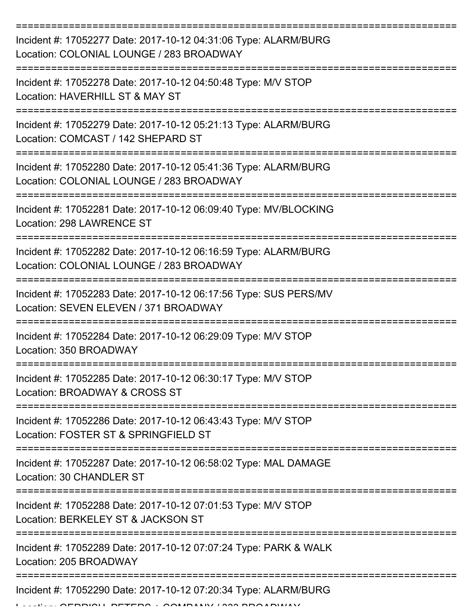| Incident #: 17052277 Date: 2017-10-12 04:31:06 Type: ALARM/BURG<br>Location: COLONIAL LOUNGE / 283 BROADWAY |
|-------------------------------------------------------------------------------------------------------------|
| Incident #: 17052278 Date: 2017-10-12 04:50:48 Type: M/V STOP<br>Location: HAVERHILL ST & MAY ST            |
| Incident #: 17052279 Date: 2017-10-12 05:21:13 Type: ALARM/BURG<br>Location: COMCAST / 142 SHEPARD ST       |
| Incident #: 17052280 Date: 2017-10-12 05:41:36 Type: ALARM/BURG<br>Location: COLONIAL LOUNGE / 283 BROADWAY |
| Incident #: 17052281 Date: 2017-10-12 06:09:40 Type: MV/BLOCKING<br>Location: 298 LAWRENCE ST               |
| Incident #: 17052282 Date: 2017-10-12 06:16:59 Type: ALARM/BURG<br>Location: COLONIAL LOUNGE / 283 BROADWAY |
| Incident #: 17052283 Date: 2017-10-12 06:17:56 Type: SUS PERS/MV<br>Location: SEVEN ELEVEN / 371 BROADWAY   |
| Incident #: 17052284 Date: 2017-10-12 06:29:09 Type: M/V STOP<br>Location: 350 BROADWAY                     |
| Incident #: 17052285 Date: 2017-10-12 06:30:17 Type: M/V STOP<br>Location: BROADWAY & CROSS ST              |
| Incident #: 17052286 Date: 2017-10-12 06:43:43 Type: M/V STOP<br>Location: FOSTER ST & SPRINGFIELD ST       |
| Incident #: 17052287 Date: 2017-10-12 06:58:02 Type: MAL DAMAGE<br>Location: 30 CHANDLER ST                 |
| Incident #: 17052288 Date: 2017-10-12 07:01:53 Type: M/V STOP<br>Location: BERKELEY ST & JACKSON ST         |
| Incident #: 17052289 Date: 2017-10-12 07:07:24 Type: PARK & WALK<br>Location: 205 BROADWAY                  |
| Incident #: 17052290 Date: 2017-10-12 07:20:34 Type: ALARM/BURG                                             |

Location: GERRISH, PETERS + COMPANY / 333 BROADWAY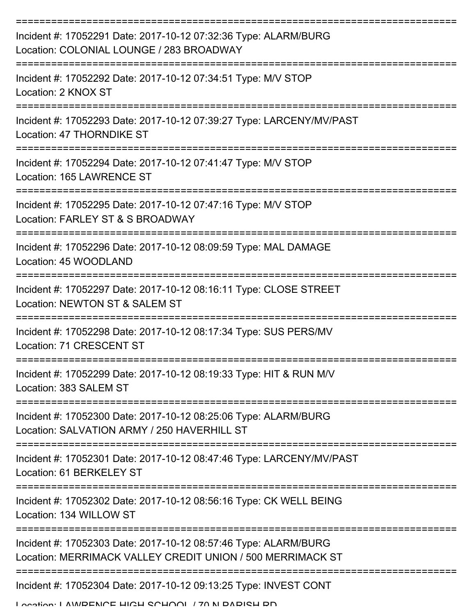| Incident #: 17052291 Date: 2017-10-12 07:32:36 Type: ALARM/BURG<br>Location: COLONIAL LOUNGE / 283 BROADWAY                   |
|-------------------------------------------------------------------------------------------------------------------------------|
| Incident #: 17052292 Date: 2017-10-12 07:34:51 Type: M/V STOP<br>Location: 2 KNOX ST                                          |
| Incident #: 17052293 Date: 2017-10-12 07:39:27 Type: LARCENY/MV/PAST<br>Location: 47 THORNDIKE ST                             |
| Incident #: 17052294 Date: 2017-10-12 07:41:47 Type: M/V STOP<br>Location: 165 LAWRENCE ST                                    |
| Incident #: 17052295 Date: 2017-10-12 07:47:16 Type: M/V STOP<br>Location: FARLEY ST & S BROADWAY                             |
| Incident #: 17052296 Date: 2017-10-12 08:09:59 Type: MAL DAMAGE<br>Location: 45 WOODLAND                                      |
| Incident #: 17052297 Date: 2017-10-12 08:16:11 Type: CLOSE STREET<br>Location: NEWTON ST & SALEM ST                           |
| Incident #: 17052298 Date: 2017-10-12 08:17:34 Type: SUS PERS/MV<br>Location: 71 CRESCENT ST                                  |
| Incident #: 17052299 Date: 2017-10-12 08:19:33 Type: HIT & RUN M/V<br>Location: 383 SALEM ST                                  |
| Incident #: 17052300 Date: 2017-10-12 08:25:06 Type: ALARM/BURG<br>Location: SALVATION ARMY / 250 HAVERHILL ST                |
| Incident #: 17052301 Date: 2017-10-12 08:47:46 Type: LARCENY/MV/PAST<br>Location: 61 BERKELEY ST                              |
| Incident #: 17052302 Date: 2017-10-12 08:56:16 Type: CK WELL BEING<br>Location: 134 WILLOW ST                                 |
| Incident #: 17052303 Date: 2017-10-12 08:57:46 Type: ALARM/BURG<br>Location: MERRIMACK VALLEY CREDIT UNION / 500 MERRIMACK ST |
| Incident #: 17052304 Date: 2017-10-12 09:13:25 Type: INVEST CONT<br>I ocction: I AM/DENICE HICH SCHOOL / 70 N DADISH DD       |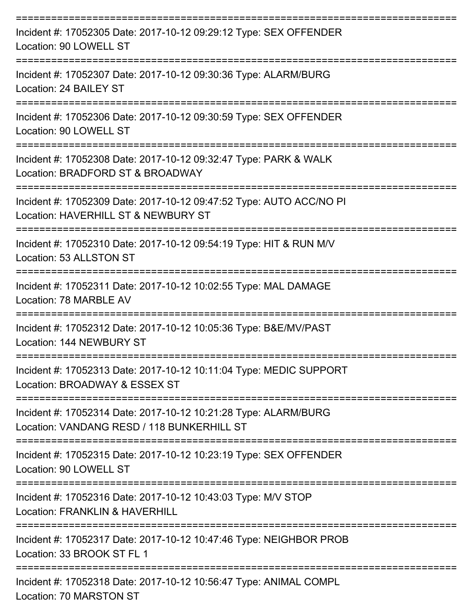| Incident #: 17052305 Date: 2017-10-12 09:29:12 Type: SEX OFFENDER<br>Location: 90 LOWELL ST                   |
|---------------------------------------------------------------------------------------------------------------|
| Incident #: 17052307 Date: 2017-10-12 09:30:36 Type: ALARM/BURG<br>Location: 24 BAILEY ST                     |
| Incident #: 17052306 Date: 2017-10-12 09:30:59 Type: SEX OFFENDER<br>Location: 90 LOWELL ST                   |
| Incident #: 17052308 Date: 2017-10-12 09:32:47 Type: PARK & WALK<br>Location: BRADFORD ST & BROADWAY          |
| Incident #: 17052309 Date: 2017-10-12 09:47:52 Type: AUTO ACC/NO PI<br>Location: HAVERHILL ST & NEWBURY ST    |
| Incident #: 17052310 Date: 2017-10-12 09:54:19 Type: HIT & RUN M/V<br>Location: 53 ALLSTON ST                 |
| Incident #: 17052311 Date: 2017-10-12 10:02:55 Type: MAL DAMAGE<br>Location: 78 MARBLE AV                     |
| Incident #: 17052312 Date: 2017-10-12 10:05:36 Type: B&E/MV/PAST<br>Location: 144 NEWBURY ST                  |
| Incident #: 17052313 Date: 2017-10-12 10:11:04 Type: MEDIC SUPPORT<br>Location: BROADWAY & ESSEX ST           |
| Incident #: 17052314 Date: 2017-10-12 10:21:28 Type: ALARM/BURG<br>Location: VANDANG RESD / 118 BUNKERHILL ST |
| Incident #: 17052315 Date: 2017-10-12 10:23:19 Type: SEX OFFENDER<br>Location: 90 LOWELL ST                   |
| Incident #: 17052316 Date: 2017-10-12 10:43:03 Type: M/V STOP<br><b>Location: FRANKLIN &amp; HAVERHILL</b>    |
| Incident #: 17052317 Date: 2017-10-12 10:47:46 Type: NEIGHBOR PROB<br>Location: 33 BROOK ST FL 1              |
| Incident #: 17052318 Date: 2017-10-12 10:56:47 Type: ANIMAL COMPL<br>Location: 70 MARSTON ST                  |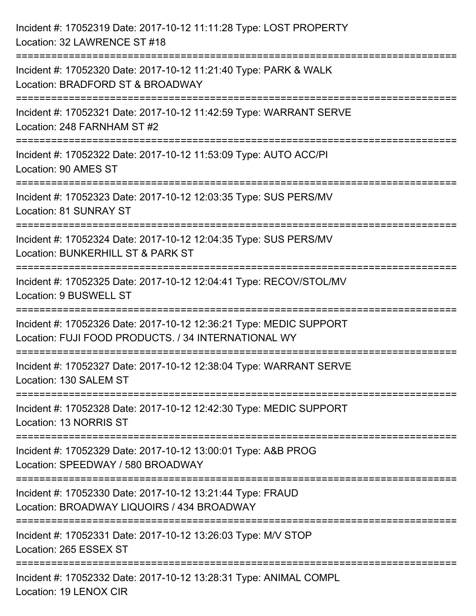| Incident #: 17052319 Date: 2017-10-12 11:11:28 Type: LOST PROPERTY<br>Location: 32 LAWRENCE ST #18                                          |
|---------------------------------------------------------------------------------------------------------------------------------------------|
| :==================================<br>Incident #: 17052320 Date: 2017-10-12 11:21:40 Type: PARK & WALK<br>Location: BRADFORD ST & BROADWAY |
| Incident #: 17052321 Date: 2017-10-12 11:42:59 Type: WARRANT SERVE<br>Location: 248 FARNHAM ST #2<br>=============================          |
| Incident #: 17052322 Date: 2017-10-12 11:53:09 Type: AUTO ACC/PI<br>Location: 90 AMES ST                                                    |
| Incident #: 17052323 Date: 2017-10-12 12:03:35 Type: SUS PERS/MV<br>Location: 81 SUNRAY ST<br>----------------------------                  |
| Incident #: 17052324 Date: 2017-10-12 12:04:35 Type: SUS PERS/MV<br>Location: BUNKERHILL ST & PARK ST<br>:=========================         |
| Incident #: 17052325 Date: 2017-10-12 12:04:41 Type: RECOV/STOL/MV<br>Location: 9 BUSWELL ST<br>==================================          |
| Incident #: 17052326 Date: 2017-10-12 12:36:21 Type: MEDIC SUPPORT<br>Location: FUJI FOOD PRODUCTS. / 34 INTERNATIONAL WY                   |
| Incident #: 17052327 Date: 2017-10-12 12:38:04 Type: WARRANT SERVE<br>Location: 130 SALEM ST                                                |
| =======================<br>Incident #: 17052328 Date: 2017-10-12 12:42:30 Type: MEDIC SUPPORT<br>Location: 13 NORRIS ST                     |
| Incident #: 17052329 Date: 2017-10-12 13:00:01 Type: A&B PROG<br>Location: SPEEDWAY / 580 BROADWAY                                          |
| Incident #: 17052330 Date: 2017-10-12 13:21:44 Type: FRAUD<br>Location: BROADWAY LIQUOIRS / 434 BROADWAY                                    |
| Incident #: 17052331 Date: 2017-10-12 13:26:03 Type: M/V STOP<br>Location: 265 ESSEX ST                                                     |
| Incident #: 17052332 Date: 2017-10-12 13:28:31 Type: ANIMAL COMPL<br>Location: 19 LENOX CIR                                                 |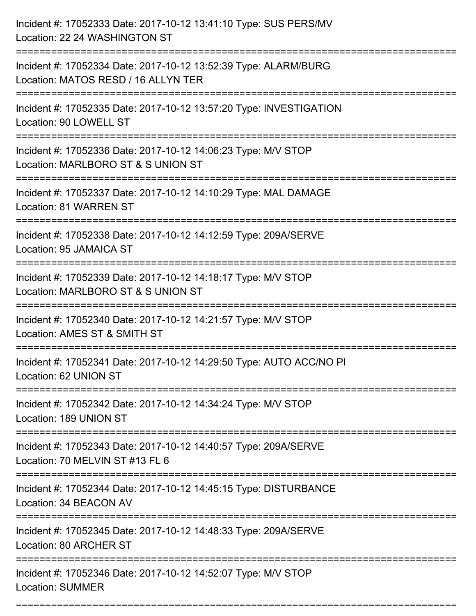| Incident #: 17052333 Date: 2017-10-12 13:41:10 Type: SUS PERS/MV<br>Location: 22 24 WASHINGTON ST      |
|--------------------------------------------------------------------------------------------------------|
| Incident #: 17052334 Date: 2017-10-12 13:52:39 Type: ALARM/BURG<br>Location: MATOS RESD / 16 ALLYN TER |
| Incident #: 17052335 Date: 2017-10-12 13:57:20 Type: INVESTIGATION<br>Location: 90 LOWELL ST           |
| Incident #: 17052336 Date: 2017-10-12 14:06:23 Type: M/V STOP<br>Location: MARLBORO ST & S UNION ST    |
| Incident #: 17052337 Date: 2017-10-12 14:10:29 Type: MAL DAMAGE<br>Location: 81 WARREN ST              |
| Incident #: 17052338 Date: 2017-10-12 14:12:59 Type: 209A/SERVE<br>Location: 95 JAMAICA ST             |
| Incident #: 17052339 Date: 2017-10-12 14:18:17 Type: M/V STOP<br>Location: MARLBORO ST & S UNION ST    |
| Incident #: 17052340 Date: 2017-10-12 14:21:57 Type: M/V STOP<br>Location: AMES ST & SMITH ST          |
| Incident #: 17052341 Date: 2017-10-12 14:29:50 Type: AUTO ACC/NO PI<br>Location: 62 UNION ST           |
| Incident #: 17052342 Date: 2017-10-12 14:34:24 Type: M/V STOP<br>Location: 189 UNION ST                |
| Incident #: 17052343 Date: 2017-10-12 14:40:57 Type: 209A/SERVE<br>Location: 70 MELVIN ST #13 FL 6     |
| Incident #: 17052344 Date: 2017-10-12 14:45:15 Type: DISTURBANCE<br>Location: 34 BEACON AV             |
| Incident #: 17052345 Date: 2017-10-12 14:48:33 Type: 209A/SERVE<br>Location: 80 ARCHER ST              |
| Incident #: 17052346 Date: 2017-10-12 14:52:07 Type: M/V STOP<br><b>Location: SUMMER</b>               |

===========================================================================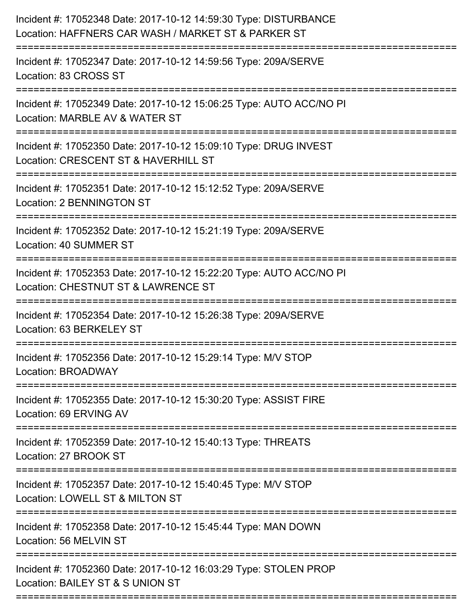| Incident #: 17052348 Date: 2017-10-12 14:59:30 Type: DISTURBANCE<br>Location: HAFFNERS CAR WASH / MARKET ST & PARKER ST |
|-------------------------------------------------------------------------------------------------------------------------|
| Incident #: 17052347 Date: 2017-10-12 14:59:56 Type: 209A/SERVE<br>Location: 83 CROSS ST                                |
| Incident #: 17052349 Date: 2017-10-12 15:06:25 Type: AUTO ACC/NO PI<br>Location: MARBLE AV & WATER ST                   |
| Incident #: 17052350 Date: 2017-10-12 15:09:10 Type: DRUG INVEST<br>Location: CRESCENT ST & HAVERHILL ST                |
| Incident #: 17052351 Date: 2017-10-12 15:12:52 Type: 209A/SERVE<br><b>Location: 2 BENNINGTON ST</b>                     |
| Incident #: 17052352 Date: 2017-10-12 15:21:19 Type: 209A/SERVE<br>Location: 40 SUMMER ST                               |
| Incident #: 17052353 Date: 2017-10-12 15:22:20 Type: AUTO ACC/NO PI<br>Location: CHESTNUT ST & LAWRENCE ST              |
| Incident #: 17052354 Date: 2017-10-12 15:26:38 Type: 209A/SERVE<br>Location: 63 BERKELEY ST                             |
| Incident #: 17052356 Date: 2017-10-12 15:29:14 Type: M/V STOP<br>Location: BROADWAY                                     |
| Incident #: 17052355 Date: 2017-10-12 15:30:20 Type: ASSIST FIRE<br>Location: 69 ERVING AV                              |
| Incident #: 17052359 Date: 2017-10-12 15:40:13 Type: THREATS<br>Location: 27 BROOK ST                                   |
| Incident #: 17052357 Date: 2017-10-12 15:40:45 Type: M/V STOP<br>Location: LOWELL ST & MILTON ST                        |
| Incident #: 17052358 Date: 2017-10-12 15:45:44 Type: MAN DOWN<br>Location: 56 MELVIN ST                                 |
| Incident #: 17052360 Date: 2017-10-12 16:03:29 Type: STOLEN PROP<br>Location: BAILEY ST & S UNION ST                    |
|                                                                                                                         |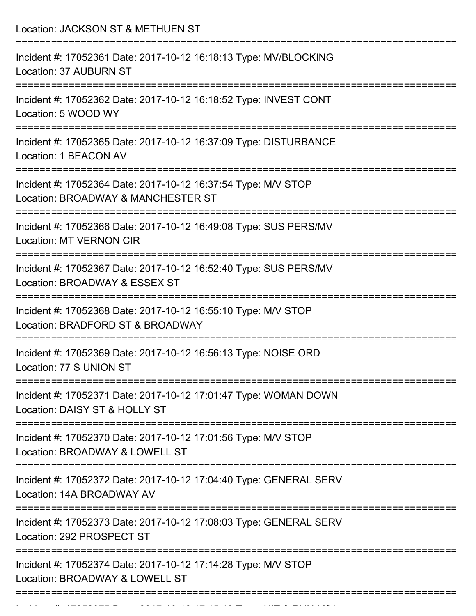Location: JACKSON ST & METHUEN ST =========================================================================== Incident #: 17052361 Date: 2017-10-12 16:18:13 Type: MV/BLOCKING Location: 37 AUBURN ST =========================================================================== Incident #: 17052362 Date: 2017-10-12 16:18:52 Type: INVEST CONT Location: 5 WOOD WY =========================================================================== Incident #: 17052365 Date: 2017-10-12 16:37:09 Type: DISTURBANCE Location: 1 BEACON AV =========================================================================== Incident #: 17052364 Date: 2017-10-12 16:37:54 Type: M/V STOP Location: BROADWAY & MANCHESTER ST =========================================================================== Incident #: 17052366 Date: 2017-10-12 16:49:08 Type: SUS PERS/MV Location: MT VERNON CIR =========================================================================== Incident #: 17052367 Date: 2017-10-12 16:52:40 Type: SUS PERS/MV Location: BROADWAY & ESSEX ST =========================================================================== Incident #: 17052368 Date: 2017-10-12 16:55:10 Type: M/V STOP Location: BRADFORD ST & BROADWAY =========================================================================== Incident #: 17052369 Date: 2017-10-12 16:56:13 Type: NOISE ORD Location: 77 S UNION ST =========================================================================== Incident #: 17052371 Date: 2017-10-12 17:01:47 Type: WOMAN DOWN Location: DAISY ST & HOLLY ST =========================================================================== Incident #: 17052370 Date: 2017-10-12 17:01:56 Type: M/V STOP Location: BROADWAY & LOWELL ST =========================================================================== Incident #: 17052372 Date: 2017-10-12 17:04:40 Type: GENERAL SERV Location: 14A BROADWAY AV =========================================================================== Incident #: 17052373 Date: 2017-10-12 17:08:03 Type: GENERAL SERV Location: 292 PROSPECT ST =========================================================================== Incident #: 17052374 Date: 2017-10-12 17:14:28 Type: M/V STOP Location: BROADWAY & LOWELL ST ===========================================================================

Incident #: 17052375 Date: 2017 10 17:15:15:15:15:19 Type: 17053<br>.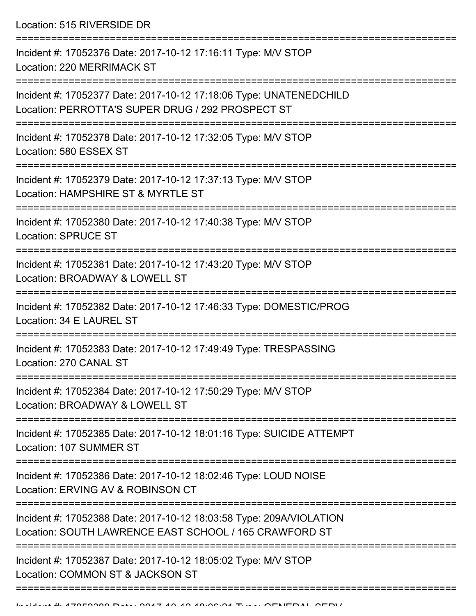Location: 515 RIVERSIDE DR

| Incident #: 17052376 Date: 2017-10-12 17:16:11 Type: M/V STOP<br>Location: 220 MERRIMACK ST                                   |
|-------------------------------------------------------------------------------------------------------------------------------|
| Incident #: 17052377 Date: 2017-10-12 17:18:06 Type: UNATENEDCHILD<br>Location: PERROTTA'S SUPER DRUG / 292 PROSPECT ST       |
| Incident #: 17052378 Date: 2017-10-12 17:32:05 Type: M/V STOP<br>Location: 580 ESSEX ST                                       |
| Incident #: 17052379 Date: 2017-10-12 17:37:13 Type: M/V STOP<br>Location: HAMPSHIRE ST & MYRTLE ST                           |
| Incident #: 17052380 Date: 2017-10-12 17:40:38 Type: M/V STOP<br><b>Location: SPRUCE ST</b>                                   |
| Incident #: 17052381 Date: 2017-10-12 17:43:20 Type: M/V STOP<br>Location: BROADWAY & LOWELL ST                               |
| Incident #: 17052382 Date: 2017-10-12 17:46:33 Type: DOMESTIC/PROG<br>Location: 34 E LAUREL ST                                |
| Incident #: 17052383 Date: 2017-10-12 17:49:49 Type: TRESPASSING<br>Location: 270 CANAL ST                                    |
| Incident #: 17052384 Date: 2017-10-12 17:50:29 Type: M/V STOP<br>Location: BROADWAY & LOWELL ST                               |
| Incident #: 17052385 Date: 2017-10-12 18:01:16 Type: SUICIDE ATTEMPT<br>Location: 107 SUMMER ST                               |
| Incident #: 17052386 Date: 2017-10-12 18:02:46 Type: LOUD NOISE<br>Location: ERVING AV & ROBINSON CT                          |
| Incident #: 17052388 Date: 2017-10-12 18:03:58 Type: 209A/VIOLATION<br>Location: SOUTH LAWRENCE EAST SCHOOL / 165 CRAWFORD ST |
| Incident #: 17052387 Date: 2017-10-12 18:05:02 Type: M/V STOP<br>Location: COMMON ST & JACKSON ST                             |
|                                                                                                                               |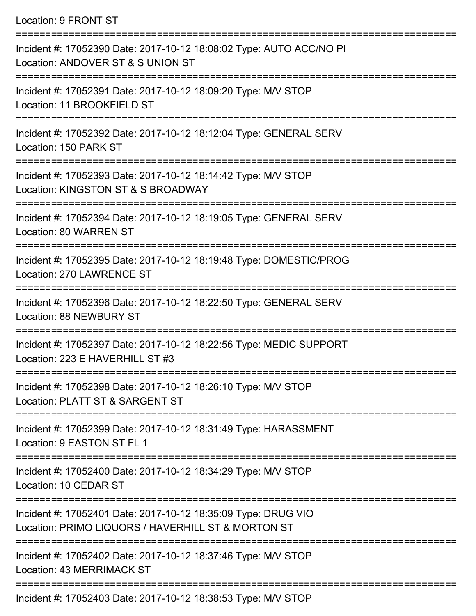Location: 9 FRONT ST

| Incident #: 17052390 Date: 2017-10-12 18:08:02 Type: AUTO ACC/NO PI<br>Location: ANDOVER ST & S UNION ST            |
|---------------------------------------------------------------------------------------------------------------------|
| Incident #: 17052391 Date: 2017-10-12 18:09:20 Type: M/V STOP<br>Location: 11 BROOKFIELD ST                         |
| Incident #: 17052392 Date: 2017-10-12 18:12:04 Type: GENERAL SERV<br>Location: 150 PARK ST                          |
| Incident #: 17052393 Date: 2017-10-12 18:14:42 Type: M/V STOP<br>Location: KINGSTON ST & S BROADWAY                 |
| Incident #: 17052394 Date: 2017-10-12 18:19:05 Type: GENERAL SERV<br>Location: 80 WARREN ST                         |
| Incident #: 17052395 Date: 2017-10-12 18:19:48 Type: DOMESTIC/PROG<br>Location: 270 LAWRENCE ST                     |
| Incident #: 17052396 Date: 2017-10-12 18:22:50 Type: GENERAL SERV<br><b>Location: 88 NEWBURY ST</b>                 |
| Incident #: 17052397 Date: 2017-10-12 18:22:56 Type: MEDIC SUPPORT<br>Location: 223 E HAVERHILL ST #3               |
| Incident #: 17052398 Date: 2017-10-12 18:26:10 Type: M/V STOP<br>Location: PLATT ST & SARGENT ST                    |
| Incident #: 17052399 Date: 2017-10-12 18:31:49 Type: HARASSMENT<br>Location: 9 EASTON ST FL 1                       |
| Incident #: 17052400 Date: 2017-10-12 18:34:29 Type: M/V STOP<br>Location: 10 CEDAR ST                              |
| Incident #: 17052401 Date: 2017-10-12 18:35:09 Type: DRUG VIO<br>Location: PRIMO LIQUORS / HAVERHILL ST & MORTON ST |
| Incident #: 17052402 Date: 2017-10-12 18:37:46 Type: M/V STOP<br>Location: 43 MERRIMACK ST                          |
| $17050102$ Deta: $201710$ $10.10.20552$ Ture: $N1010TCD$                                                            |

Incident #: 17052403 Date: 2017-10-12 18:38:53 Type: M/V STOP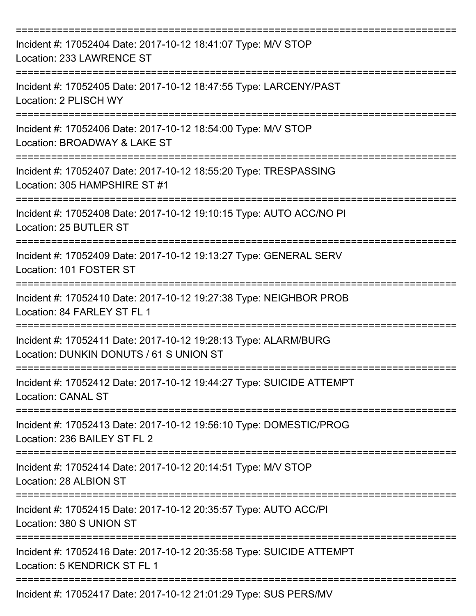| Incident #: 17052404 Date: 2017-10-12 18:41:07 Type: M/V STOP<br>Location: 233 LAWRENCE ST                      |
|-----------------------------------------------------------------------------------------------------------------|
| Incident #: 17052405 Date: 2017-10-12 18:47:55 Type: LARCENY/PAST<br>Location: 2 PLISCH WY                      |
| Incident #: 17052406 Date: 2017-10-12 18:54:00 Type: M/V STOP<br>Location: BROADWAY & LAKE ST                   |
| Incident #: 17052407 Date: 2017-10-12 18:55:20 Type: TRESPASSING<br>Location: 305 HAMPSHIRE ST #1               |
| Incident #: 17052408 Date: 2017-10-12 19:10:15 Type: AUTO ACC/NO PI<br>Location: 25 BUTLER ST                   |
| Incident #: 17052409 Date: 2017-10-12 19:13:27 Type: GENERAL SERV<br>Location: 101 FOSTER ST                    |
| Incident #: 17052410 Date: 2017-10-12 19:27:38 Type: NEIGHBOR PROB<br>Location: 84 FARLEY ST FL 1<br>========== |
| Incident #: 17052411 Date: 2017-10-12 19:28:13 Type: ALARM/BURG<br>Location: DUNKIN DONUTS / 61 S UNION ST      |
| Incident #: 17052412 Date: 2017-10-12 19:44:27 Type: SUICIDE ATTEMPT<br><b>Location: CANAL ST</b>               |
| Incident #: 17052413 Date: 2017-10-12 19:56:10 Type: DOMESTIC/PROG<br>Location: 236 BAILEY ST FL 2              |
| Incident #: 17052414 Date: 2017-10-12 20:14:51 Type: M/V STOP<br>Location: 28 ALBION ST                         |
| Incident #: 17052415 Date: 2017-10-12 20:35:57 Type: AUTO ACC/PI<br>Location: 380 S UNION ST                    |
| Incident #: 17052416 Date: 2017-10-12 20:35:58 Type: SUICIDE ATTEMPT<br>Location: 5 KENDRICK ST FL 1            |
| Incident #: 17052417 Date: 2017-10-12 21:01:29 Type: SUS PERS/MV                                                |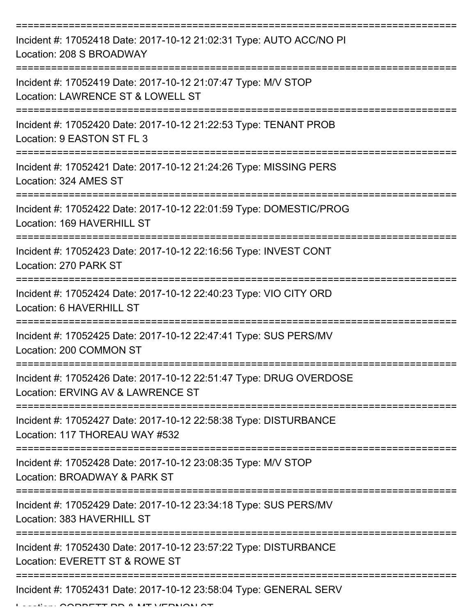| Incident #: 17052418 Date: 2017-10-12 21:02:31 Type: AUTO ACC/NO PI<br>Location: 208 S BROADWAY         |
|---------------------------------------------------------------------------------------------------------|
| Incident #: 17052419 Date: 2017-10-12 21:07:47 Type: M/V STOP<br>Location: LAWRENCE ST & LOWELL ST      |
| Incident #: 17052420 Date: 2017-10-12 21:22:53 Type: TENANT PROB<br>Location: 9 EASTON ST FL 3          |
| Incident #: 17052421 Date: 2017-10-12 21:24:26 Type: MISSING PERS<br>Location: 324 AMES ST              |
| Incident #: 17052422 Date: 2017-10-12 22:01:59 Type: DOMESTIC/PROG<br>Location: 169 HAVERHILL ST        |
| Incident #: 17052423 Date: 2017-10-12 22:16:56 Type: INVEST CONT<br>Location: 270 PARK ST               |
| Incident #: 17052424 Date: 2017-10-12 22:40:23 Type: VIO CITY ORD<br>Location: 6 HAVERHILL ST           |
| Incident #: 17052425 Date: 2017-10-12 22:47:41 Type: SUS PERS/MV<br>Location: 200 COMMON ST             |
| Incident #: 17052426 Date: 2017-10-12 22:51:47 Type: DRUG OVERDOSE<br>Location: ERVING AV & LAWRENCE ST |
| Incident #: 17052427 Date: 2017-10-12 22:58:38 Type: DISTURBANCE<br>Location: 117 THOREAU WAY #532      |
| Incident #: 17052428 Date: 2017-10-12 23:08:35 Type: M/V STOP<br>Location: BROADWAY & PARK ST           |
| Incident #: 17052429 Date: 2017-10-12 23:34:18 Type: SUS PERS/MV<br>Location: 383 HAVERHILL ST          |
| Incident #: 17052430 Date: 2017-10-12 23:57:22 Type: DISTURBANCE<br>Location: EVERETT ST & ROWE ST      |
| Incident #: 17052431 Date: 2017-10-12 23:58:04 Type: GENERAL SERV                                       |